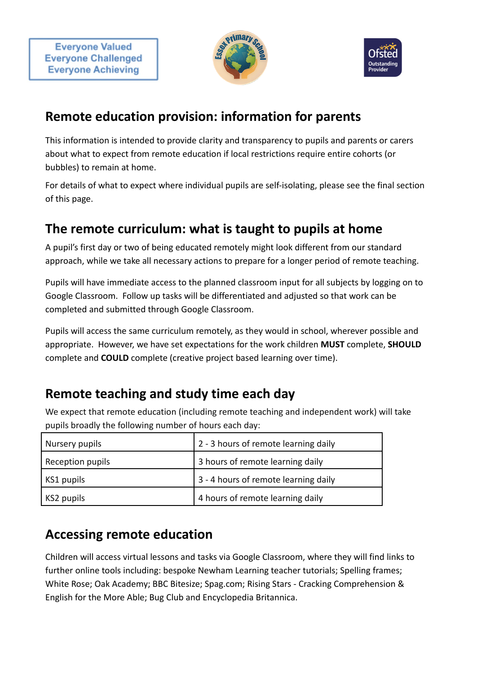



#### **Remote education provision: information for parents**

This information is intended to provide clarity and transparency to pupils and parents or carers about what to expect from remote education if local restrictions require entire cohorts (or bubbles) to remain at home.

For details of what to expect where individual pupils are self-isolating, please see the final section of this page.

# **The remote curriculum: what is taught to pupils at home**

A pupil's first day or two of being educated remotely might look different from our standard approach, while we take all necessary actions to prepare for a longer period of remote teaching.

Pupils will have immediate access to the planned classroom input for all subjects by logging on to Google Classroom. Follow up tasks will be differentiated and adjusted so that work can be completed and submitted through Google Classroom.

Pupils will access the same curriculum remotely, as they would in school, wherever possible and appropriate. However, we have set expectations for the work children **MUST** complete, **SHOULD** complete and **COULD** complete (creative project based learning over time).

## **Remote teaching and study time each day**

We expect that remote education (including remote teaching and independent work) will take pupils broadly the following number of hours each day:

| Nursery pupils   | 2 - 3 hours of remote learning daily |  |
|------------------|--------------------------------------|--|
| Reception pupils | 3 hours of remote learning daily     |  |
| KS1 pupils       | 3 - 4 hours of remote learning daily |  |
| KS2 pupils       | 4 hours of remote learning daily     |  |

## **Accessing remote education**

Children will access virtual lessons and tasks via Google Classroom, where they will find links to further online tools including: bespoke Newham Learning teacher tutorials; Spelling frames; White Rose; Oak Academy; BBC Bitesize; Spag.com; Rising Stars - Cracking Comprehension & English for the More Able; Bug Club and Encyclopedia Britannica.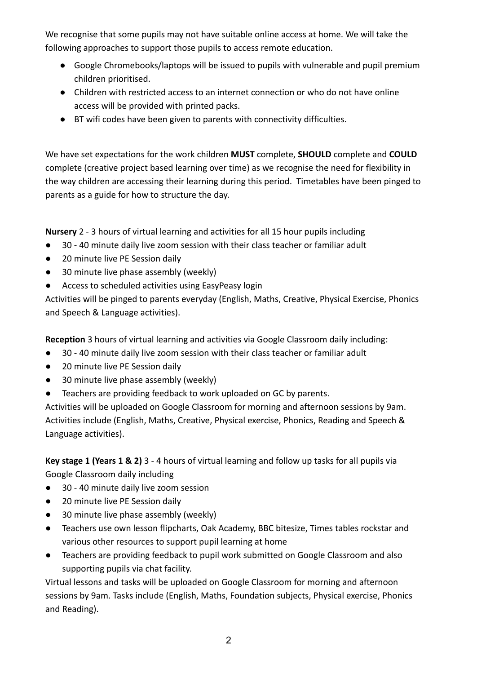We recognise that some pupils may not have suitable online access at home. We will take the following approaches to support those pupils to access remote education.

- Google Chromebooks/laptops will be issued to pupils with vulnerable and pupil premium children prioritised.
- Children with restricted access to an internet connection or who do not have online access will be provided with printed packs.
- BT wifi codes have been given to parents with connectivity difficulties.

We have set expectations for the work children **MUST** complete, **SHOULD** complete and **COULD** complete (creative project based learning over time) as we recognise the need for flexibility in the way children are accessing their learning during this period. Timetables have been pinged to parents as a guide for how to structure the day.

**Nursery** 2 - 3 hours of virtual learning and activities for all 15 hour pupils including

- 30 40 minute daily live zoom session with their class teacher or familiar adult
- 20 minute live PE Session daily
- 30 minute live phase assembly (weekly)
- Access to scheduled activities using EasyPeasy login

Activities will be pinged to parents everyday (English, Maths, Creative, Physical Exercise, Phonics and Speech & Language activities).

**Reception** 3 hours of virtual learning and activities via Google Classroom daily including:

- 30 40 minute daily live zoom session with their class teacher or familiar adult
- 20 minute live PE Session daily
- 30 minute live phase assembly (weekly)
- Teachers are providing feedback to work uploaded on GC by parents.

Activities will be uploaded on Google Classroom for morning and afternoon sessions by 9am. Activities include (English, Maths, Creative, Physical exercise, Phonics, Reading and Speech & Language activities).

**Key stage 1 (Years 1 & 2)** 3 - 4 hours of virtual learning and follow up tasks for all pupils via Google Classroom daily including

- 30 40 minute daily live zoom session
- 20 minute live PE Session daily
- 30 minute live phase assembly (weekly)
- Teachers use own lesson flipcharts, Oak Academy, BBC bitesize, Times tables rockstar and various other resources to support pupil learning at home
- Teachers are providing feedback to pupil work submitted on Google Classroom and also supporting pupils via chat facility.

Virtual lessons and tasks will be uploaded on Google Classroom for morning and afternoon sessions by 9am. Tasks include (English, Maths, Foundation subjects, Physical exercise, Phonics and Reading).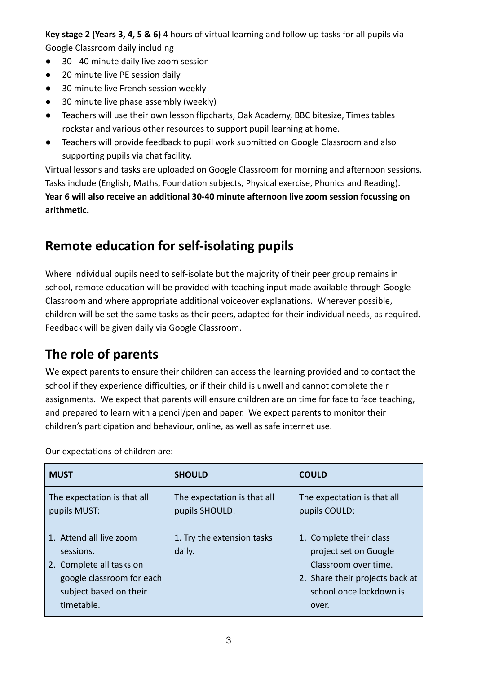**Key stage 2 (Years 3, 4, 5 & 6)** 4 hours of virtual learning and follow up tasks for all pupils via Google Classroom daily including

- 30 40 minute daily live zoom session
- 20 minute live PE session daily
- 30 minute live French session weekly
- 30 minute live phase assembly (weekly)
- Teachers will use their own lesson flipcharts, Oak Academy, BBC bitesize, Times tables rockstar and various other resources to support pupil learning at home.
- Teachers will provide feedback to pupil work submitted on Google Classroom and also supporting pupils via chat facility.

Virtual lessons and tasks are uploaded on Google Classroom for morning and afternoon sessions. Tasks include (English, Maths, Foundation subjects, Physical exercise, Phonics and Reading). **Year 6 will also receive an additional 30-40 minute afternoon live zoom session focussing on arithmetic.**

#### **Remote education for self-isolating pupils**

Where individual pupils need to self-isolate but the majority of their peer group remains in school, remote education will be provided with teaching input made available through Google Classroom and where appropriate additional voiceover explanations. Wherever possible, children will be set the same tasks as their peers, adapted for their individual needs, as required. Feedback will be given daily via Google Classroom.

# **The role of parents**

We expect parents to ensure their children can access the learning provided and to contact the school if they experience difficulties, or if their child is unwell and cannot complete their assignments. We expect that parents will ensure children are on time for face to face teaching, and prepared to learn with a pencil/pen and paper. We expect parents to monitor their children's participation and behaviour, online, as well as safe internet use.

Our expectations of children are:

| <b>MUST</b>                                                                                                                           | <b>SHOULD</b>                                 | <b>COULD</b>                                                                                                                                    |
|---------------------------------------------------------------------------------------------------------------------------------------|-----------------------------------------------|-------------------------------------------------------------------------------------------------------------------------------------------------|
| The expectation is that all<br>pupils MUST:                                                                                           | The expectation is that all<br>pupils SHOULD: | The expectation is that all<br>pupils COULD:                                                                                                    |
| 1. Attend all live zoom<br>sessions.<br>2. Complete all tasks on<br>google classroom for each<br>subject based on their<br>timetable. | 1. Try the extension tasks<br>daily.          | 1. Complete their class<br>project set on Google<br>Classroom over time.<br>2. Share their projects back at<br>school once lockdown is<br>over. |